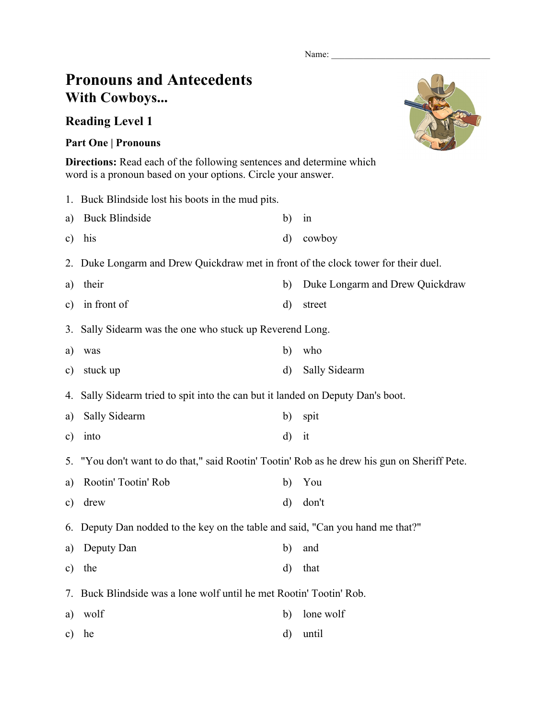Name:

## **Pronouns and Antecedents With Cowboys...**

## **Reading Level 1**

## **Part One | Pronouns**

**Directions:** Read each of the following sentences and determine which word is a pronoun based on your options. Circle your answer.

|               | 1. Buck Blindside lost his boots in the mud pits.                                            |              |                                 |  |  |
|---------------|----------------------------------------------------------------------------------------------|--------------|---------------------------------|--|--|
| a)            | <b>Buck Blindside</b>                                                                        | b)           | in                              |  |  |
| c)            | his                                                                                          | d)           | cowboy                          |  |  |
| 2.            | Duke Longarm and Drew Quickdraw met in front of the clock tower for their duel.              |              |                                 |  |  |
| a)            | their                                                                                        | b)           | Duke Longarm and Drew Quickdraw |  |  |
| $\mathbf{c})$ | in front of                                                                                  | d)           | street                          |  |  |
|               | 3. Sally Sidearm was the one who stuck up Reverend Long.                                     |              |                                 |  |  |
| a)            | was                                                                                          | b)           | who                             |  |  |
| $\mathbf{c})$ | stuck up                                                                                     | $\rm d$      | Sally Sidearm                   |  |  |
| 4.            | Sally Sidearm tried to spit into the can but it landed on Deputy Dan's boot.                 |              |                                 |  |  |
| a)            | Sally Sidearm                                                                                | b)           | spit                            |  |  |
| c)            | into                                                                                         | $\mathbf{d}$ | it                              |  |  |
|               | 5. "You don't want to do that," said Rootin' Tootin' Rob as he drew his gun on Sheriff Pete. |              |                                 |  |  |
| a)            | Rootin' Tootin' Rob                                                                          | b)           | You                             |  |  |
| c)            | drew                                                                                         | d)           | don't                           |  |  |
|               | 6. Deputy Dan nodded to the key on the table and said, "Can you hand me that?"               |              |                                 |  |  |
| a)            | Deputy Dan                                                                                   | b)           | and                             |  |  |
| c)            | the                                                                                          | d)           | that                            |  |  |
| 7.            | Buck Blindside was a lone wolf until he met Rootin' Tootin' Rob.                             |              |                                 |  |  |
| a)            | wolf                                                                                         | b)           | lone wolf                       |  |  |
| c)            | he                                                                                           | d)           | until                           |  |  |
|               |                                                                                              |              |                                 |  |  |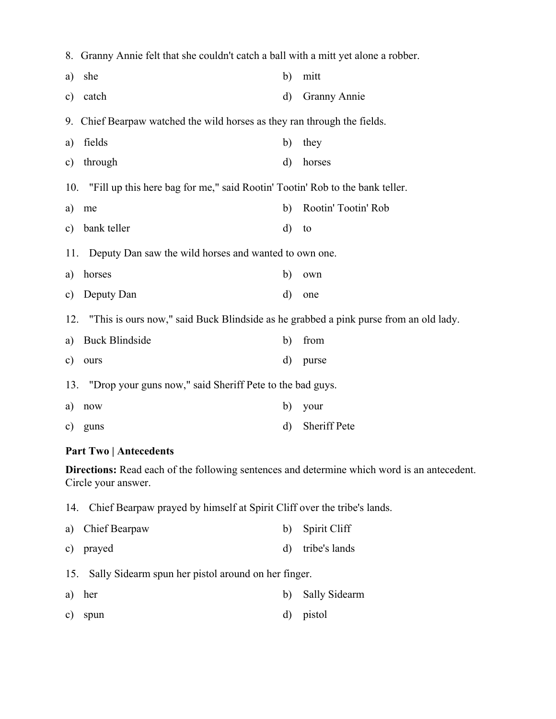|                                                                                                                           | 8. Granny Annie felt that she couldn't catch a ball with a mitt yet alone a robber.  |    |                     |  |  |
|---------------------------------------------------------------------------------------------------------------------------|--------------------------------------------------------------------------------------|----|---------------------|--|--|
| a)                                                                                                                        | she                                                                                  | b) | mitt                |  |  |
| c)                                                                                                                        | catch                                                                                | d) | <b>Granny Annie</b> |  |  |
| 9.                                                                                                                        | Chief Bearpaw watched the wild horses as they ran through the fields.                |    |                     |  |  |
| a)                                                                                                                        | fields                                                                               | b) | they                |  |  |
| $\mathbf{c})$                                                                                                             | through                                                                              | d) | horses              |  |  |
| 10.                                                                                                                       | "Fill up this here bag for me," said Rootin' Tootin' Rob to the bank teller.         |    |                     |  |  |
| a)                                                                                                                        | me                                                                                   | b) | Rootin' Tootin' Rob |  |  |
| $\mathbf{c})$                                                                                                             | bank teller                                                                          | d) | to                  |  |  |
|                                                                                                                           | Deputy Dan saw the wild horses and wanted to own one.<br>11.                         |    |                     |  |  |
| a)                                                                                                                        | horses                                                                               | b) | own                 |  |  |
| c)                                                                                                                        | Deputy Dan                                                                           | d) | one                 |  |  |
| 12.                                                                                                                       | "This is ours now," said Buck Blindside as he grabbed a pink purse from an old lady. |    |                     |  |  |
| a)                                                                                                                        | <b>Buck Blindside</b>                                                                | b) | from                |  |  |
| c)                                                                                                                        | ours                                                                                 | d) | purse               |  |  |
|                                                                                                                           | "Drop your guns now," said Sheriff Pete to the bad guys.<br>13.                      |    |                     |  |  |
| a)                                                                                                                        | now                                                                                  | b) | your                |  |  |
| c)                                                                                                                        | guns                                                                                 | d) | <b>Sheriff Pete</b> |  |  |
| <b>Part Two   Antecedents</b>                                                                                             |                                                                                      |    |                     |  |  |
| <b>Directions:</b> Read each of the following sentences and determine which word is an antecedent.<br>Circle your answer. |                                                                                      |    |                     |  |  |
|                                                                                                                           | 14. Chief Bearpaw prayed by himself at Spirit Cliff over the tribe's lands.          |    |                     |  |  |

- a) Chief Bearpaw b) Spirit Cliff
- c) prayed d) tribe's lands
- 15. Sally Sidearm spun her pistol around on her finger.
- a) her b) Sally Sidearm
- c) spun d) pistol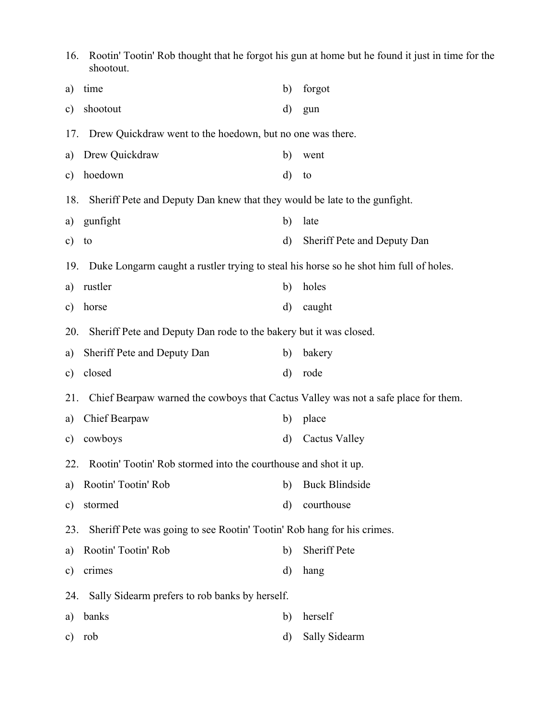| 16.<br>shootout.                                                                          | Rootin' Tootin' Rob thought that he forgot his gun at home but he found it just in time for the |  |  |  |  |
|-------------------------------------------------------------------------------------------|-------------------------------------------------------------------------------------------------|--|--|--|--|
| time                                                                                      | forgot                                                                                          |  |  |  |  |
| a)                                                                                        | b)                                                                                              |  |  |  |  |
| shootout                                                                                  | d)                                                                                              |  |  |  |  |
| $\mathbf{c})$                                                                             | gun                                                                                             |  |  |  |  |
| 17.                                                                                       | Drew Quickdraw went to the hoedown, but no one was there.                                       |  |  |  |  |
| Drew Quickdraw                                                                            | b)                                                                                              |  |  |  |  |
| a)                                                                                        | went                                                                                            |  |  |  |  |
| hoedown                                                                                   | d)                                                                                              |  |  |  |  |
| $\mathbf{c})$                                                                             | to                                                                                              |  |  |  |  |
| 18.                                                                                       | Sheriff Pete and Deputy Dan knew that they would be late to the gunfight.                       |  |  |  |  |
| gunfight                                                                                  | late                                                                                            |  |  |  |  |
| a)                                                                                        | b)                                                                                              |  |  |  |  |
| $\mathbf{c})$                                                                             | Sheriff Pete and Deputy Dan                                                                     |  |  |  |  |
| to                                                                                        | d)                                                                                              |  |  |  |  |
| 19.                                                                                       | Duke Longarm caught a rustler trying to steal his horse so he shot him full of holes.           |  |  |  |  |
| rustler                                                                                   | holes                                                                                           |  |  |  |  |
| a)                                                                                        | b)                                                                                              |  |  |  |  |
| horse                                                                                     | d)                                                                                              |  |  |  |  |
| $\mathbf{c})$                                                                             | caught                                                                                          |  |  |  |  |
| 20.                                                                                       | Sheriff Pete and Deputy Dan rode to the bakery but it was closed.                               |  |  |  |  |
| Sheriff Pete and Deputy Dan                                                               | bakery                                                                                          |  |  |  |  |
| a)                                                                                        | b)                                                                                              |  |  |  |  |
| closed                                                                                    | d)                                                                                              |  |  |  |  |
| $\mathbf{c})$                                                                             | rode                                                                                            |  |  |  |  |
| Chief Bearpaw warned the cowboys that Cactus Valley was not a safe place for them.<br>21. |                                                                                                 |  |  |  |  |
| Chief Bearpaw                                                                             | place                                                                                           |  |  |  |  |
| a)                                                                                        | b)                                                                                              |  |  |  |  |
| cowboys                                                                                   | <b>Cactus Valley</b>                                                                            |  |  |  |  |
| $\mathbf{c})$                                                                             | d)                                                                                              |  |  |  |  |
| 22.                                                                                       | Rootin' Tootin' Rob stormed into the courthouse and shot it up.                                 |  |  |  |  |
| Rootin' Tootin' Rob                                                                       | <b>Buck Blindside</b>                                                                           |  |  |  |  |
| a)                                                                                        | b)                                                                                              |  |  |  |  |
| stormed                                                                                   | courthouse                                                                                      |  |  |  |  |
| $\mathbf{c})$                                                                             | d)                                                                                              |  |  |  |  |
| 23.                                                                                       | Sheriff Pete was going to see Rootin' Tootin' Rob hang for his crimes.                          |  |  |  |  |
| Rootin' Tootin' Rob                                                                       | Sheriff Pete                                                                                    |  |  |  |  |
| a)                                                                                        | b)                                                                                              |  |  |  |  |
| crimes                                                                                    | d)                                                                                              |  |  |  |  |
| $\mathbf{c})$                                                                             | hang                                                                                            |  |  |  |  |
| 24.                                                                                       | Sally Sidearm prefers to rob banks by herself.                                                  |  |  |  |  |
| banks                                                                                     | herself                                                                                         |  |  |  |  |
| a)                                                                                        | b)                                                                                              |  |  |  |  |
| rob                                                                                       | Sally Sidearm                                                                                   |  |  |  |  |
| $\mathbf{c})$                                                                             | d)                                                                                              |  |  |  |  |